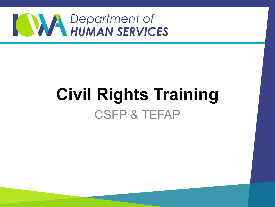

#### **Civil Rights Training** CSFP & TEFAP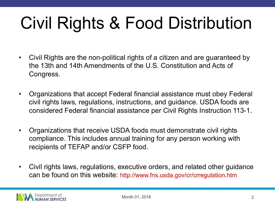# Civil Rights & Food Distribution

- Civil Rights are the non-political rights of a citizen and are guaranteed by the 13th and 14th Amendments of the U.S. Constitution and Acts of Congress.
- Organizations that accept Federal financial assistance must obey Federal civil rights laws, regulations, instructions, and guidance. USDA foods are considered Federal financial assistance per Civil Rights Instruction 113-1.
- Organizations that receive USDA foods must demonstrate civil rights compliance. This includes annual training for any person working with recipients of TEFAP and/or CSFP food.
- Civil rights laws, regulations, executive orders, and related other guidance can be found on this website: http://www.fns.usda.gov/cr/crregulation.htm

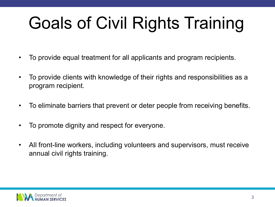# Goals of Civil Rights Training

- To provide equal treatment for all applicants and program recipients.
- To provide clients with knowledge of their rights and responsibilities as a program recipient.
- To eliminate barriers that prevent or deter people from receiving benefits.
- To promote dignity and respect for everyone.
- All front-line workers, including volunteers and supervisors, must receive annual civil rights training.

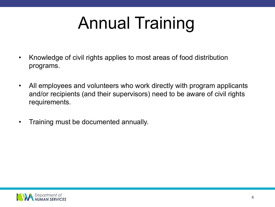# Annual Training

- Knowledge of civil rights applies to most areas of food distribution programs.
- All employees and volunteers who work directly with program applicants and/or recipients (and their supervisors) need to be aware of civil rights requirements.
- Training must be documented annually.

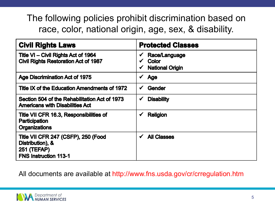The following policies prohibit discrimination based on race, color, national origin, age, sex, & disability.

| <b>Civil Rights Laws</b>                                                                                      | <b>Protected Classes</b>                                                |
|---------------------------------------------------------------------------------------------------------------|-------------------------------------------------------------------------|
| Title VI – Civil Rights Act of 1964<br><b>Civil Rights Restoration Act of 1987</b>                            | Race/Language<br>$\checkmark$<br><b>Color</b><br><b>National Origin</b> |
| <b>Age Discrimination Act of 1975</b>                                                                         | <b>Age</b><br>✔                                                         |
| Title IX of the Education Amendments of 1972                                                                  | Gender<br>$\checkmark$                                                  |
| Section 504 of the Rehabilitation Act of 1973<br><b>Americans with Disabilities Act</b>                       | <b>Disability</b><br>$\checkmark$                                       |
| Title VII CFR 16.3, Responsibilities of<br><b>Participation</b><br><b>Organizations</b>                       | <b>Religion</b><br>$\checkmark$                                         |
| Title VII CFR 247 (CSFP), 250 (Food<br>Distribution), &<br><b>251 (TEFAP)</b><br><b>FNS Instruction 113-1</b> | <b>All Classes</b><br>$\checkmark$                                      |

All documents are available at http://www.fns.usda.gov/cr/crregulation.htm

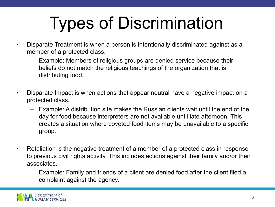# Types of Discrimination

- Disparate Treatment is when a person is intentionally discriminated against as a member of a protected class.
	- Example: Members of religious groups are denied service because their beliefs do not match the religious teachings of the organization that is distributing food.
- Disparate Impact is when actions that appear neutral have a negative impact on a protected class.
	- Example: A distribution site makes the Russian clients wait until the end of the day for food because interpreters are not available until late afternoon. This creates a situation where coveted food items may be unavailable to a specific group.
- Retaliation is the negative treatment of a member of a protected class in response to previous civil rights activity. This includes actions against their family and/or their associates.
	- Example: Family and friends of a client are denied food after the client filed a complaint against the agency.

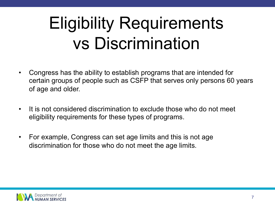# Eligibility Requirements vs Discrimination

- Congress has the ability to establish programs that are intended for certain groups of people such as CSFP that serves only persons 60 years of age and older.
- It is not considered discrimination to exclude those who do not meet eligibility requirements for these types of programs.
- For example, Congress can set age limits and this is not age discrimination for those who do not meet the age limits.

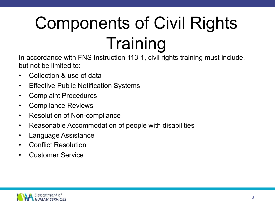# Components of Civil Rights **Training**

In accordance with FNS Instruction 113-1, civil rights training must include, but not be limited to:

- Collection & use of data
- Effective Public Notification Systems
- Complaint Procedures
- Compliance Reviews
- Resolution of Non-compliance
- Reasonable Accommodation of people with disabilities
- Language Assistance
- Conflict Resolution
- Customer Service

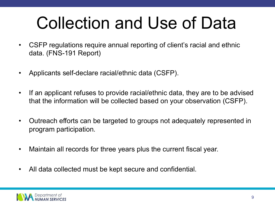## Collection and Use of Data

- CSFP regulations require annual reporting of client's racial and ethnic data. (FNS-191 Report)
- Applicants self-declare racial/ethnic data (CSFP).
- If an applicant refuses to provide racial/ethnic data, they are to be advised that the information will be collected based on your observation (CSFP).
- Outreach efforts can be targeted to groups not adequately represented in program participation.
- Maintain all records for three years plus the current fiscal year.
- All data collected must be kept secure and confidential.

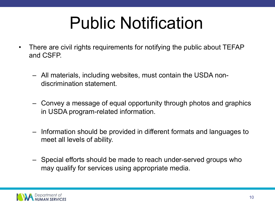## Public Notification

- There are civil rights requirements for notifying the public about TEFAP and CSFP.
	- All materials, including websites, must contain the USDA nondiscrimination statement.
	- Convey a message of equal opportunity through photos and graphics in USDA program-related information.
	- Information should be provided in different formats and languages to meet all levels of ability.
	- Special efforts should be made to reach under-served groups who may qualify for services using appropriate media.

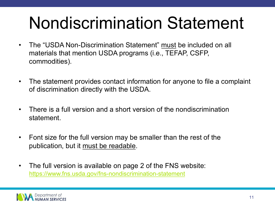# **Nondiscrimination Statemer**

- The "USDA Non-Discrimination Statement" must be included on all materials that mention USDA programs (i.e., TEFAP, CSFP, commodities).
- [The statement provides contact information for anyo](https://www.fns.usda.gov/fns-nondiscrimination-statement)ne to file a com of discrimination directly with the USDA.
- There is a full version and a short version of the nondiscrimination statement.
- Font size for the full version may be smaller than the rest of the publication, but it must be readable.
- The full version is available on page 2 of the FNS website: https://www.fns.usda.gov/fns-nondiscrimination-statement

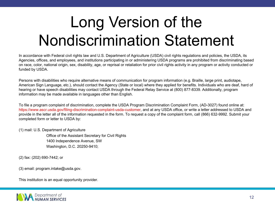#### Long Version of the Nondiscrimination Statement

In accordance with Federal civil rights law and U.S. Department of Agriculture (USDA) civil rights regulations and policies, the USDA, its Agencies, offices, and employees, and institutions participating in or administering USDA programs are prohibited from discriminating based on race, color, national origin, sex, disability, age, or reprisal or retaliation for prior civil rights activity in any program or activity conducted or funded by USDA.

Persons with disabilities who require alternative means of communication for program information (e.g. Braille, large print, audiotape, American Sign Language, etc.), should contact the Agency (State or local) where they applied for benefits. Individuals who are deaf, hard of hearing or have speech disabilities may contact USDA through the Federal Relay Service at (800) 877-8339. Additionally, program information may be made available in languages other than English.

To file a program complaint of discrimination, complete the USDA Program Discrimination Complaint Form, (AD-3027) found online at: https://www.ascr.usda.gov/filing-discrimination-complaint-usda-customer, and at any USDA office, or write a letter addressed to USDA and provide in the letter all of the information requested in the form. To request a copy of the complaint form, call (866) 632-9992. Submit your completed form or letter to USDA by:

(1) mail: U.S. Department of Agriculture

Office of the Assistant Secretary for Civil Rights 1400 Independence Avenue, SW Washington, D.C. 20250-9410;

(2) fax: (202) 690-7442; or

(3) email: program.intake@usda.gov.

This institution is an equal opportunity provider.

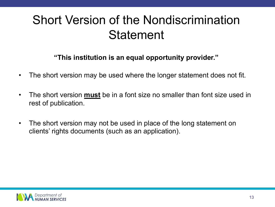#### Short Version of the Nondiscrimination **Statement**

#### **"This institution is an equal opportunity provider."**

- The short version may be used where the longer statement does not fit.
- The short version **must** be in a font size no smaller than font size used in rest of publication.
- The short version may not be used in place of the long statement on clients' rights documents (such as an application).

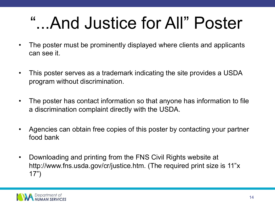## "...And Justice for All" Poster

- The poster must be prominently displayed where clients and applicants can see it.
- This poster serves as a trademark indicating the site provides a USDA program without discrimination.
- The poster has contact information so that anyone has information to file a discrimination complaint directly with the USDA.
- Agencies can obtain free copies of this poster by contacting your partner food bank
- Downloading and printing from the FNS Civil Rights website at http://www.fns.usda.gov/cr/justice.htm. (The required print size is 11"x 17")

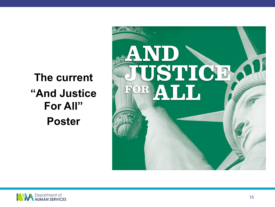**The current "And Justice For All" Poster**



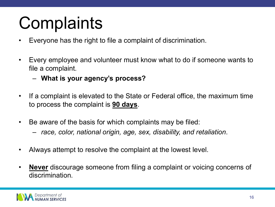# **Complaints**

- Everyone has the right to file a complaint of discrimination.
- Every employee and volunteer must know what to do if someone wants to file a complaint.
	- **What is your agency's process?**
- If a complaint is elevated to the State or Federal office, the maximum time to process the complaint is **90 days**.
- Be aware of the basis for which complaints may be filed:
	- *race, color, national origin, age, sex, disability, and retaliation*.
- Always attempt to resolve the complaint at the lowest level.
- **Never** discourage someone from filing a complaint or voicing concerns of discrimination.

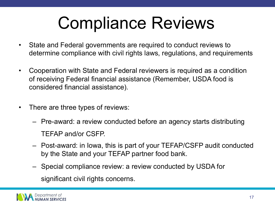## Compliance Reviews

- State and Federal governments are required to conduct reviews to determine compliance with civil rights laws, regulations, and requirements
- Cooperation with State and Federal reviewers is required as a condition of receiving Federal financial assistance (Remember, USDA food is considered financial assistance).
- There are three types of reviews:
	- Pre-award: a review conducted before an agency starts distributing TEFAP and/or CSFP.
	- Post-award: in Iowa, this is part of your TEFAP/CSFP audit conducted by the State and your TEFAP partner food bank.
	- Special compliance review: a review conducted by USDA for significant civil rights concerns.

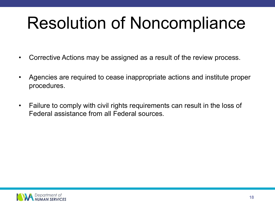# Resolution of Noncompliance

- Corrective Actions may be assigned as a result of the review process.
- Agencies are required to cease inappropriate actions and institute proper procedures.
- Failure to comply with civil rights requirements can result in the loss of Federal assistance from all Federal sources.

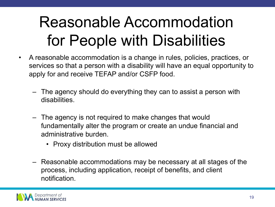#### Reasonable Accommodation for People with Disabilities

- A reasonable accommodation is a change in rules, policies, practices, or services so that a person with a disability will have an equal opportunity to apply for and receive TEFAP and/or CSFP food.
	- The agency should do everything they can to assist a person with disabilities.
	- The agency is not required to make changes that would fundamentally alter the program or create an undue financial and administrative burden.
		- Proxy distribution must be allowed
	- Reasonable accommodations may be necessary at all stages of the process, including application, receipt of benefits, and client notification.

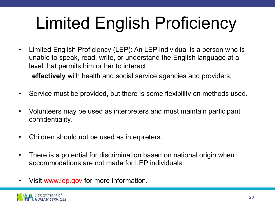# Limited English Proficiency

• Limited English Proficiency (LEP): An LEP individual is a person who is unable to speak, read, write, or understand the English language at a level that permits him or her to interact

**effectively** with health and social service agencies and providers.

- Service must be provided, but there is some flexibility on methods used.
- Volunteers may be used as interpreters and must maintain participant confidentiality.
- Children should not be used as interpreters.
- There is a potential for discrimination based on national origin when accommodations are not made for LEP individuals.
- Visit www.lep.gov for more information.

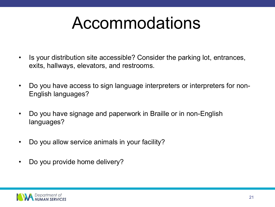#### Accommodations

- Is your distribution site accessible? Consider the parking lot, entrances, exits, hallways, elevators, and restrooms.
- Do you have access to sign language interpreters or interpreters for non-English languages?
- Do you have signage and paperwork in Braille or in non-English languages?
- Do you allow service animals in your facility?
- Do you provide home delivery?

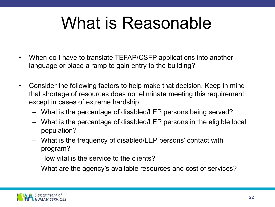## What is Reasonable

- When do I have to translate TEFAP/CSFP applications into another language or place a ramp to gain entry to the building?
- Consider the following factors to help make that decision. Keep in mind that shortage of resources does not eliminate meeting this requirement except in cases of extreme hardship.
	- What is the percentage of disabled/LEP persons being served?
	- What is the percentage of disabled/LEP persons in the eligible local population?
	- What is the frequency of disabled/LEP persons' contact with program?
	- How vital is the service to the clients?
	- What are the agency's available resources and cost of services?

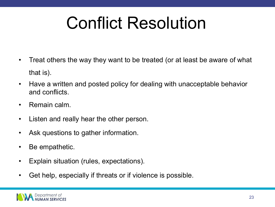# Conflict Resolution

- Treat others the way they want to be treated (or at least be aware of what that is).
- Have a written and posted policy for dealing with unacceptable behavior and conflicts.
- Remain calm.
- Listen and really hear the other person.
- Ask questions to gather information.
- Be empathetic.
- Explain situation (rules, expectations).
- Get help, especially if threats or if violence is possible.

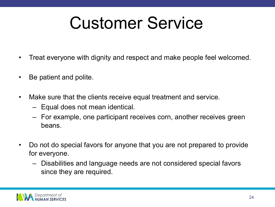#### Customer Service

- Treat everyone with dignity and respect and make people feel welcomed.
- Be patient and polite.
- Make sure that the clients receive equal treatment and service.
	- Equal does not mean identical.
	- For example, one participant receives corn, another receives green beans.
- Do not do special favors for anyone that you are not prepared to provide for everyone.
	- Disabilities and language needs are not considered special favors since they are required.

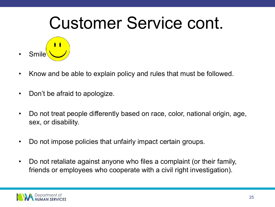#### Customer Service cont.

- **Smile**
- Know and be able to explain policy and rules that must be followed.
- Don't be afraid to apologize.
- Do not treat people differently based on race, color, national origin, age, sex, or disability.
- Do not impose policies that unfairly impact certain groups.
- Do not retaliate against anyone who files a complaint (or their family, friends or employees who cooperate with a civil right investigation).

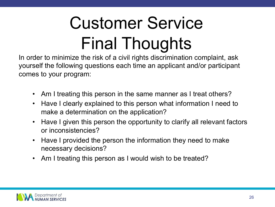# Customer Service Final Thoughts

In order to minimize the risk of a civil rights discrimination complaint, ask yourself the following questions each time an applicant and/or participant comes to your program:

- Am I treating this person in the same manner as I treat others?
- Have I clearly explained to this person what information I need to make a determination on the application?
- Have I given this person the opportunity to clarify all relevant factors or inconsistencies?
- Have I provided the person the information they need to make necessary decisions?
- Am I treating this person as I would wish to be treated?

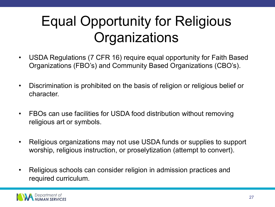#### Equal Opportunity for Religious **Organizations**

- USDA Regulations (7 CFR 16) require equal opportunity for Faith Based Organizations (FBO's) and Community Based Organizations (CBO's).
- Discrimination is prohibited on the basis of religion or religious belief or character.
- FBOs can use facilities for USDA food distribution without removing religious art or symbols.
- Religious organizations may not use USDA funds or supplies to support worship, religious instruction, or proselytization (attempt to convert).
- Religious schools can consider religion in admission practices and required curriculum.

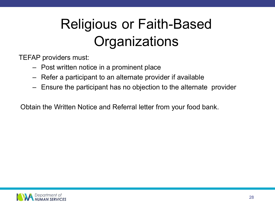#### Religious or Faith-Based **Organizations**

TEFAP providers must:

- Post written notice in a prominent place
- Refer a participant to an alternate provider if available
- Ensure the participant has no objection to the alternate provider

Obtain the Written Notice and Referral letter from your food bank.